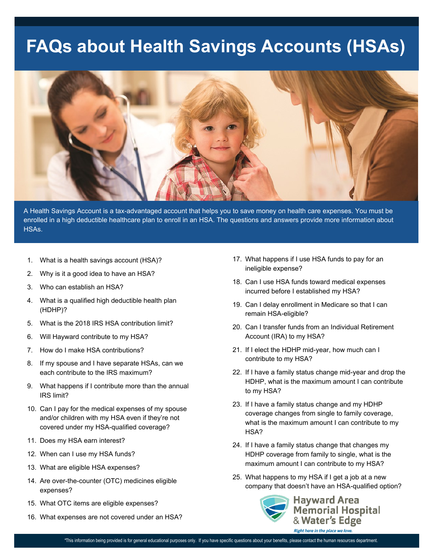# **FAQs about Health Savings Accounts (HSAs)**



A Health Savings Account is a tax-advantaged account that helps you to save money on health care expenses. You must be enrolled in a high deductible healthcare plan to enroll in an HSA. The questions and answers provide more information about HSAs.

- 1. What is a health savings account (HSA)?
- 2. Why is it a good idea to have an HSA?
- 3. Who can establish an HSA?
- 4. What is a qualified high deductible health plan (HDHP)?
- 5. What is the 2018 IRS HSA contribution limit?
- 6. Will Hayward contribute to my HSA?
- 7. How do I make HSA contributions?
- 8. If my spouse and I have separate HSAs, can we each contribute to the IRS maximum?
- 9. What happens if I contribute more than the annual IRS limit?
- 10. Can I pay for the medical expenses of my spouse and/or children with my HSA even if they're not covered under my HSA-qualified coverage?
- 11. Does my HSA earn interest?
- 12. When can I use my HSA funds?
- 13. What are eligible HSA expenses?
- 14. Are over-the-counter (OTC) medicines eligible expenses?
- 15. What OTC items are eligible expenses?
- 16. What expenses are not covered under an HSA?
- 17. What happens if I use HSA funds to pay for an ineligible expense?
- 18. Can I use HSA funds toward medical expenses incurred before I established my HSA?
- 19. Can I delay enrollment in Medicare so that I can remain HSA-eligible?
- 20. Can I transfer funds from an Individual Retirement Account (IRA) to my HSA?
- 21. If I elect the HDHP mid-year, how much can I contribute to my HSA?
- 22. If I have a family status change mid-year and drop the HDHP, what is the maximum amount I can contribute to my HSA?
- 23. If I have a family status change and my HDHP coverage changes from single to family coverage, what is the maximum amount I can contribute to my HSA?
- 24. If I have a family status change that changes my HDHP coverage from family to single, what is the maximum amount I can contribute to my HSA?
- 25. What happens to my HSA if I get a job at a new company that doesn't have an HSA-qualified option?

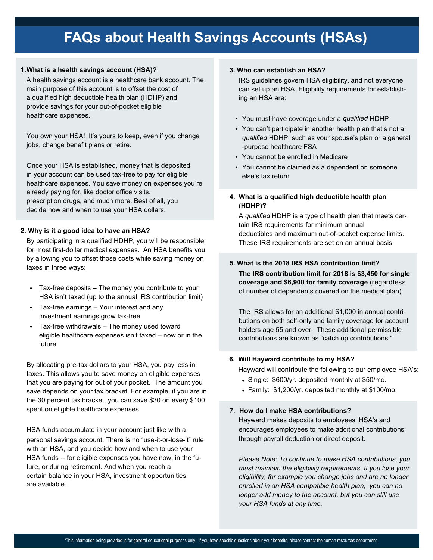#### **1.What is a health savings account (HSA)?**

A health savings account is a healthcare bank account. The main purpose of this account is to offset the cost of a qualified high deductible health plan (HDHP) and provide savings for your out-of-pocket eligible healthcare expenses.

You own your HSA! It's yours to keep, even if you change jobs, change benefit plans or retire.

Once your HSA is established, money that is deposited in your account can be used tax-free to pay for eligible healthcare expenses. You save money on expenses you're already paying for, like doctor office visits, prescription drugs, and much more. Best of all, you decide how and when to use your HSA dollars.

#### **2. Why is it a good idea to have an HSA?**

By participating in a qualified HDHP, you will be responsible for most first-dollar medical expenses. An HSA benefits you by allowing you to offset those costs while saving money on taxes in three ways:

- Tax-free deposits The money you contribute to your HSA isn't taxed (up to the annual IRS contribution limit)
- Tax-free earnings Your interest and any investment earnings grow tax-free
- Tax-free withdrawals The money used toward eligible healthcare expenses isn't taxed – now or in the future

By allocating pre-tax dollars to your HSA, you pay less in taxes. This allows you to save money on eligible expenses that you are paying for out of your pocket. The amount you save depends on your tax bracket. For example, if you are in the 30 percent tax bracket, you can save \$30 on every \$100 spent on eligible healthcare expenses.

HSA funds accumulate in your account just like with a personal savings account. There is no "use-it-or-lose-it" rule with an HSA, and you decide how and when to use your HSA funds -- for eligible expenses you have now, in the future, or during retirement. And when you reach a certain balance in your HSA, investment opportunities are available.

#### **3. Who can establish an HSA?**

IRS guidelines govern HSA eligibility, and not everyone can set up an HSA. Eligibility requirements for establishing an HSA are:

- You must have coverage under a *qualified* HDHP
- You can't participate in another health plan that's not a *qualified* HDHP, such as your spouse's plan or a general -purpose healthcare FSA
- You cannot be enrolled in Medicare
- You cannot be claimed as a dependent on someone else's tax return
- **4. What is a qualified high deductible health plan (HDHP)?**

A *qualified* HDHP is a type of health plan that meets certain IRS requirements for minimum annual deductibles and maximum out-of-pocket expense limits. These IRS requirements are set on an annual basis.

### **5. What is the 2018 IRS HSA contribution limit?**

**The IRS contribution limit for 2018 is \$3,450 for single coverage and \$6,900 for family coverage** (regardless of number of dependents covered on the medical plan).

The IRS allows for an additional \$1,000 in annual contributions on both self-only and family coverage for account holders age 55 and over. These additional permissible contributions are known as "catch up contributions."

#### **6. Will Hayward contribute to my HSA?**

Hayward will contribute the following to our employee HSA's:

- Single: \$600/yr. deposited monthly at \$50/mo.
- Family: \$1,200/yr. deposited monthly at \$100/mo.

#### **7. How do I make HSA contributions?**

Hayward makes deposits to employees' HSA's and encourages employees to make additional contributions through payroll deduction or direct deposit.

*Please Note: To continue to make HSA contributions, you must maintain the eligibility requirements. If you lose your eligibility, for example you change jobs and are no longer enrolled in an HSA compatible health plan, you can no longer add money to the account, but you can still use your HSA funds at any time.*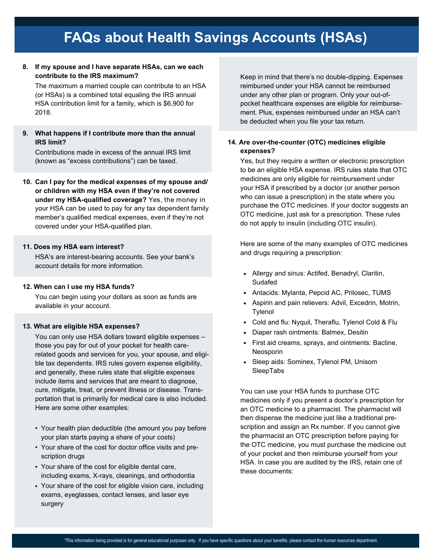### **8. If my spouse and I have separate HSAs, can we each contribute to the IRS maximum?**

The maximum a married couple can contribute to an HSA (or HSAs) is a combined total equaling the IRS annual HSA contribution limit for a family, which is \$6,900 for 2018.

**9. What happens if I contribute more than the annual IRS limit?**

Contributions made in excess of the annual IRS limit (known as "excess contributions") can be taxed.

**10. Can I pay for the medical expenses of my spouse and/ or children with my HSA even if they're not covered under my HSA-qualified coverage?** Yes, the money in your HSA can be used to pay for any tax dependent family member's qualified medical expenses, even if they're not covered under your HSA-qualified plan.

#### **11. Does my HSA earn interest?**

HSA's are interest-bearing accounts. See your bank's account details for more information.

#### **12. When can I use my HSA funds?**

You can begin using your dollars as soon as funds are available in your account.

#### **13. What are eligible HSA expenses?**

You can only use HSA dollars toward eligible expenses – those you pay for out of your pocket for health carerelated goods and services for you, your spouse, and eligible tax dependents. IRS rules govern expense eligibility, and generally, these rules state that eligible expenses include items and services that are meant to diagnose, cure, mitigate, treat, or prevent illness or disease. Transportation that is primarily for medical care is also included. Here are some other examples:

- Your health plan deductible (the amount you pay before your plan starts paying a share of your costs)
- Your share of the cost for doctor office visits and prescription drugs
- Your share of the cost for eligible dental care, including exams, X-rays, cleanings, and orthodontia
- Your share of the cost for eligible vision care, including exams, eyeglasses, contact lenses, and laser eye surgery

Keep in mind that there's no double-dipping. Expenses reimbursed under your HSA cannot be reimbursed under any other plan or program. Only your out-ofpocket healthcare expenses are eligible for reimbursement. Plus, expenses reimbursed under an HSA can't be deducted when you file your tax return.

### **14. Are over-the-counter (OTC) medicines eligible expenses?**

Yes, but they require a written or electronic prescription to be an eligible HSA expense. IRS rules state that OTC medicines are only eligible for reimbursement under your HSA if prescribed by a doctor (or another person who can issue a prescription) in the state where you purchase the OTC medicines. If your doctor suggests an OTC medicine, just ask for a prescription. These rules do not apply to insulin (including OTC insulin).

Here are some of the many examples of OTC medicines and drugs requiring a prescription:

- Allergy and sinus: Actifed, Benadryl, Claritin, Sudafed
- Antacids: Mylanta, Pepcid AC, Prilosec, TUMS
- Aspirin and pain relievers: Advil, Excedrin, Motrin, Tylenol
- Cold and flu: Nyquil, Theraflu, Tylenol Cold & Flu
- Diaper rash ointments: Balmex, Desitin
- First aid creams, sprays, and ointments: Bactine, Neosporin
- Sleep aids: Sominex, Tylenol PM, Unisom SleepTabs

You can use your HSA funds to purchase OTC medicines only if you present a doctor's prescription for an OTC medicine to a pharmacist. The pharmacist will then dispense the medicine just like a traditional prescription and assign an Rx number. If you cannot give the pharmacist an OTC prescription before paying for the OTC medicine, you must purchase the medicine out of your pocket and then reimburse yourself from your HSA. In case you are audited by the IRS, retain one of these documents: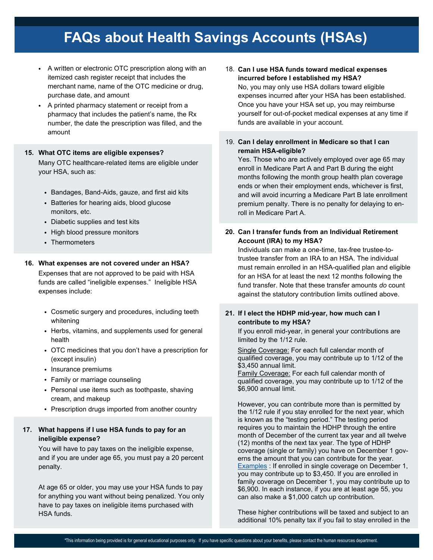- A written or electronic OTC prescription along with an itemized cash register receipt that includes the merchant name, name of the OTC medicine or drug, purchase date, and amount
- A printed pharmacy statement or receipt from a pharmacy that includes the patient's name, the Rx number, the date the prescription was filled, and the amount

#### **15. What OTC items are eligible expenses?**

Many OTC healthcare-related items are eligible under your HSA, such as:

- Bandages, Band-Aids, gauze, and first aid kits
- Batteries for hearing aids, blood glucose monitors, etc.
- Diabetic supplies and test kits
- High blood pressure monitors
- Thermometers

#### **16. What expenses are not covered under an HSA?**

Expenses that are not approved to be paid with HSA funds are called "ineligible expenses." Ineligible HSA expenses include:

- Cosmetic surgery and procedures, including teeth whitening
- Herbs, vitamins, and supplements used for general health
- OTC medicines that you don't have a prescription for (except insulin)
- Insurance premiums
- Family or marriage counseling
- Personal use items such as toothpaste, shaving cream, and makeup
- Prescription drugs imported from another country

### **17. What happens if I use HSA funds to pay for an ineligible expense?**

You will have to pay taxes on the ineligible expense, and if you are under age 65, you must pay a 20 percent penalty.

At age 65 or older, you may use your HSA funds to pay for anything you want without being penalized. You only have to pay taxes on ineligible items purchased with HSA funds.

- 18. **Can I use HSA funds toward medical expenses incurred before I established my HSA?** No, you may only use HSA dollars toward eligible expenses incurred after your HSA has been established. Once you have your HSA set up, you may reimburse yourself for out-of-pocket medical expenses at any time if funds are available in your account.
- 19. **Can I delay enrollment in Medicare so that I can remain HSA-eligible?**

Yes. Those who are actively employed over age 65 may enroll in Medicare Part A and Part B during the eight months following the month group health plan coverage ends or when their employment ends, whichever is first, and will avoid incurring a Medicare Part B late enrollment premium penalty. There is no penalty for delaying to enroll in Medicare Part A.

## **20. Can I transfer funds from an Individual Retirement Account (IRA) to my HSA?**

Individuals can make a one-time, tax-free trustee-totrustee transfer from an IRA to an HSA. The individual must remain enrolled in an HSA-qualified plan and eligible for an HSA for at least the next 12 months following the fund transfer. Note that these transfer amounts *do* count against the statutory contribution limits outlined above.

#### **21. If I elect the HDHP mid-year, how much can I contribute to my HSA?**

If you enroll mid-year, in general your contributions are limited by the 1/12 rule.

Single Coverage: For each full calendar month of qualified coverage, you may contribute up to 1/12 of the \$3,450 annual limit.

Family Coverage: For each full calendar month of qualified coverage, you may contribute up to 1/12 of the \$6,900 annual limit.

However, you can contribute more than is permitted by the 1/12 rule if you stay enrolled for the next year, which is known as the "testing period." The testing period requires you to maintain the HDHP through the entire month of December of the current tax year and all twelve (12) months of the next tax year. The type of HDHP coverage (single or family) you have on December 1 governs the amount that you can contribute for the year. Examples : If enrolled in single coverage on December 1, you may contribute up to \$3,450. If you are enrolled in family coverage on December 1, you may contribute up to \$6,900. In each instance, if you are at least age 55, you can also make a \$1,000 catch up contribution.

These higher contributions will be taxed and subject to an additional 10% penalty tax if you fail to stay enrolled in the